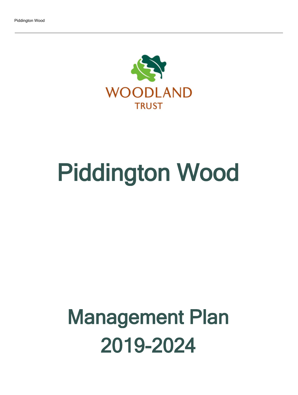

# Piddington Wood

# Management Plan 2019-2024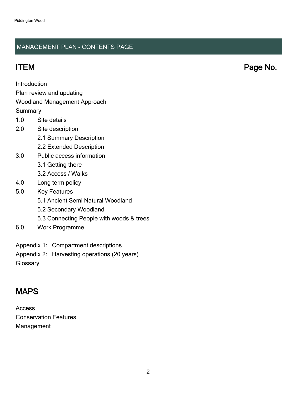### MANAGEMENT PLAN - CONTENTS PAGE

ITEM Page No.

Introduction

Plan review and updating

### Woodland Management Approach

**Summary** 

- 1.0 Site details
- 2.0 Site description
	- 2.1 Summary Description
	- 2.2 Extended Description
- 3.0 Public access information
	- 3.1 Getting there
	- 3.2 Access / Walks
- 4.0 Long term policy
- 5.0 Key Features
	- 5.1 Ancient Semi Natural Woodland
	- 5.2 Secondary Woodland
	- 5.3 Connecting People with woods & trees
- 6.0 Work Programme
- Appendix 1: Compartment descriptions
- Appendix 2: Harvesting operations (20 years)
- **Glossary**

# MAPS

Access Conservation Features Management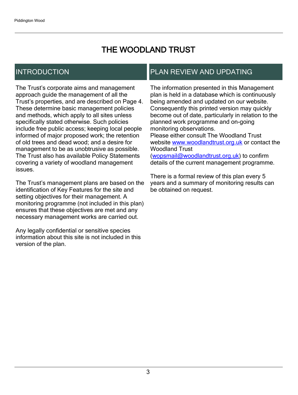# THE WOODLAND TRUST

# INTRODUCTION

The Trust's corporate aims and management approach guide the management of all the Trust's properties, and are described on Page 4. These determine basic management policies and methods, which apply to all sites unless specifically stated otherwise. Such policies include free public access; keeping local people informed of major proposed work; the retention of old trees and dead wood; and a desire for management to be as unobtrusive as possible. The Trust also has available Policy Statements covering a variety of woodland management issues.

The Trust's management plans are based on the identification of Key Features for the site and setting objectives for their management. A monitoring programme (not included in this plan) ensures that these objectives are met and any necessary management works are carried out.

Any legally confidential or sensitive species information about this site is not included in this version of the plan.

# PLAN REVIEW AND UPDATING

The information presented in this Management plan is held in a database which is continuously being amended and updated on our website. Consequently this printed version may quickly become out of date, particularly in relation to the planned work programme and on-going monitoring observations. Please either consult The Woodland Trust website [www.woodlandtrust.org.uk](http://www.woodlandtrust.org.uk/) or contact the Woodland Trust [\(wopsmail@woodlandtrust.org.uk](mailto:wopsmail@woodlandtrust.org.uk)) to confirm

details of the current management programme.

There is a formal review of this plan every 5 years and a summary of monitoring results can be obtained on request.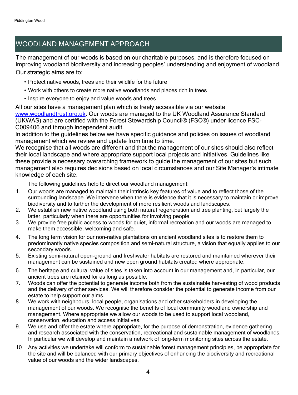# WOODLAND MANAGEMENT APPROACH

The management of our woods is based on our charitable purposes, and is therefore focused on improving woodland biodiversity and increasing peoples' understanding and enjoyment of woodland. Our strategic aims are to:

- Protect native woods, trees and their wildlife for the future
- Work with others to create more native woodlands and places rich in trees
- Inspire everyone to enjoy and value woods and trees

All our sites have a management plan which is freely accessible via our website [www.woodlandtrust.org.uk.](http://www.woodlandtrust.org.uk/) Our woods are managed to the UK Woodland Assurance Standard (UKWAS) and are certified with the Forest Stewardship Council® (FSC®) under licence FSC-C009406 and through independent audit.

In addition to the guidelines below we have specific guidance and policies on issues of woodland management which we review and update from time to time.

We recognise that all woods are different and that the management of our sites should also reflect their local landscape and where appropriate support local projects and initiatives. Guidelines like these provide a necessary overarching framework to guide the management of our sites but such management also requires decisions based on local circumstances and our Site Manager's intimate knowledge of each site.

The following guidelines help to direct our woodland management:

- 1. Our woods are managed to maintain their intrinsic key features of value and to reflect those of the surrounding landscape. We intervene when there is evidence that it is necessary to maintain or improve biodiversity and to further the development of more resilient woods and landscapes.
- 2. We establish new native woodland using both natural regeneration and tree planting, but largely the latter, particularly when there are opportunities for involving people.
- 3. We provide free public access to woods for quiet, informal recreation and our woods are managed to make them accessible, welcoming and safe.
- 4. The long term vision for our non-native plantations on ancient woodland sites is to restore them to predominantly native species composition and semi-natural structure, a vision that equally applies to our secondary woods.
- 5. Existing semi-natural open-ground and freshwater habitats are restored and maintained wherever their management can be sustained and new open ground habitats created where appropriate.
- 6. The heritage and cultural value of sites is taken into account in our management and, in particular, our ancient trees are retained for as long as possible.
- 7. Woods can offer the potential to generate income both from the sustainable harvesting of wood products and the delivery of other services. We will therefore consider the potential to generate income from our estate to help support our aims.
- 8. We work with neighbours, local people, organisations and other stakeholders in developing the management of our woods. We recognise the benefits of local community woodland ownership and management. Where appropriate we allow our woods to be used to support local woodland, conservation, education and access initiatives.
- 9. We use and offer the estate where appropriate, for the purpose of demonstration, evidence gathering and research associated with the conservation, recreational and sustainable management of woodlands. In particular we will develop and maintain a network of long-term monitoring sites across the estate.
- 10 Any activities we undertake will conform to sustainable forest management principles, be appropriate for the site and will be balanced with our primary objectives of enhancing the biodiversity and recreational value of our woods and the wider landscapes.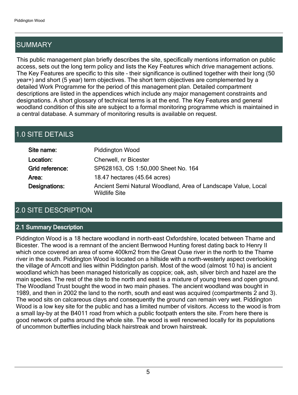# SUMMARY

This public management plan briefly describes the site, specifically mentions information on public access, sets out the long term policy and lists the Key Features which drive management actions. The Key Features are specific to this site - their significance is outlined together with their long (50 year+) and short (5 year) term objectives. The short term objectives are complemented by a detailed Work Programme for the period of this management plan. Detailed compartment descriptions are listed in the appendices which include any major management constraints and designations. A short glossary of technical terms is at the end. The Key Features and general woodland condition of this site are subject to a formal monitoring programme which is maintained in a central database. A summary of monitoring results is available on request.

# 1.0 SITE DETAILS

| Site name:      | <b>Piddington Wood</b>                                                                |
|-----------------|---------------------------------------------------------------------------------------|
| Location:       | Cherwell, nr Bicester                                                                 |
| Grid reference: | SP628163, OS 1:50,000 Sheet No. 164                                                   |
| Area:           | 18.47 hectares (45.64 acres)                                                          |
| Designations:   | Ancient Semi Natural Woodland, Area of Landscape Value, Local<br><b>Wildlife Site</b> |

# 2.0 SITE DESCRIPTION

### 2.1 Summary Description

Piddington Wood is a 18 hectare woodland in north-east Oxfordshire, located between Thame and Bicester. The wood is a remnant of the ancient Bernwood Hunting forest dating back to Henry II which once covered an area of some 400km2 from the Great Ouse river in the north to the Thame river in the south. Piddington Wood is located on a hillside with a north-westerly aspect overlooking the village of Arncott and lies within Piddington parish. Most of the wood (almost 10 ha) is ancient woodland which has been managed historically as coppice; oak, ash, silver birch and hazel are the main species. The rest of the site to the north and east is a mixture of young trees and open ground. The Woodland Trust bought the wood in two main phases. The ancient woodland was bought in 1989, and then in 2002 the land to the north, south and east was acquired (compartments 2 and 3). The wood sits on calcareous clays and consequently the ground can remain very wet. Piddington Wood is a low key site for the public and has a limited number of visitors. Access to the wood is from a small lay-by at the B4011 road from which a public footpath enters the site. From here there is good network of paths around the whole site. The wood is well renowned locally for its populations of uncommon butterflies including black hairstreak and brown hairstreak.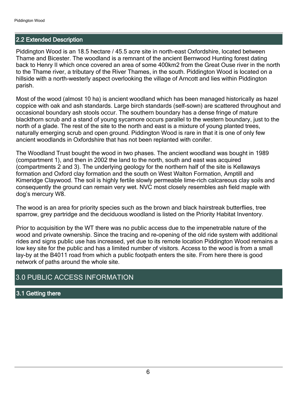### 2.2 Extended Description

Piddington Wood is an 18.5 hectare / 45.5 acre site in north-east Oxfordshire, located between Thame and Bicester. The woodland is a remnant of the ancient Bernwood Hunting forest dating back to Henry II which once covered an area of some 400km2 from the Great Ouse river in the north to the Thame river, a tributary of the River Thames, in the south. Piddington Wood is located on a hillside with a north-westerly aspect overlooking the village of Arncott and lies within Piddington parish.

Most of the wood (almost 10 ha) is ancient woodland which has been managed historically as hazel coppice with oak and ash standards. Large birch standards (self-sown) are scattered throughout and occasional boundary ash stools occur. The southern boundary has a dense fringe of mature blackthorn scrub and a stand of young sycamore occurs parallel to the western boundary, just to the north of a glade. The rest of the site to the north and east is a mixture of young planted trees, naturally emerging scrub and open ground. Piddington Wood is rare in that it is one of only few ancient woodlands in Oxfordshire that has not been replanted with conifer.

The Woodland Trust bought the wood in two phases. The ancient woodland was bought in 1989 (compartment 1), and then in 2002 the land to the north, south and east was acquired (compartments 2 and 3). The underlying geology for the northern half of the site is Kellaways formation and Oxford clay formation and the south on West Walton Formation, Amptill and Kimeridge Claywood. The soil is highly fertile slowly permeable lime-rich calcareous clay soils and consequently the ground can remain very wet. NVC most closely resembles ash field maple with dog's mercury W8.

The wood is an area for priority species such as the brown and black hairstreak butterflies, tree sparrow, grey partridge and the deciduous woodland is listed on the Priority Habitat Inventory.

Prior to acquisition by the WT there was no public access due to the impenetrable nature of the wood and private ownership. Since the tracing and re-opening of the old ride system with additional rides and signs public use has increased, yet due to its remote location Piddington Wood remains a low key site for the public and has a limited number of visitors. Access to the wood is from a small lay-by at the B4011 road from which a public footpath enters the site. From here there is good network of paths around the whole site.

### 3.0 PUBLIC ACCESS INFORMATION

### 3.1 Getting there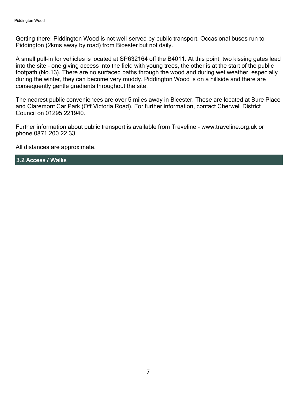Getting there: Piddington Wood is not well-served by public transport. Occasional buses run to Piddington (2kms away by road) from Bicester but not daily.

A small pull-in for vehicles is located at SP632164 off the B4011. At this point, two kissing gates lead into the site - one giving access into the field with young trees, the other is at the start of the public footpath (No.13). There are no surfaced paths through the wood and during wet weather, especially during the winter, they can become very muddy. Piddington Wood is on a hillside and there are consequently gentle gradients throughout the site.

The nearest public conveniences are over 5 miles away in Bicester. These are located at Bure Place and Claremont Car Park (Off Victoria Road). For further information, contact Cherwell District Council on 01295 221940.

Further information about public transport is available from Traveline - www.traveline.org.uk or phone 0871 200 22 33.

All distances are approximate.

3.2 Access / Walks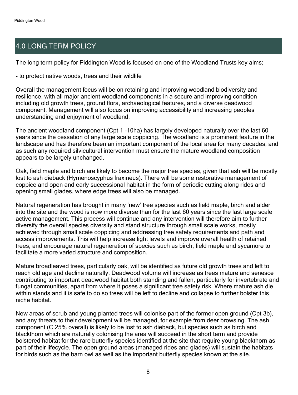# 4.0 LONG TERM POLICY

The long term policy for Piddington Wood is focused on one of the Woodland Trusts key aims;

- to protect native woods, trees and their wildlife

Overall the management focus will be on retaining and improving woodland biodiversity and resilience, with all major ancient woodland components in a secure and improving condition including old growth trees, ground flora, archaeological features, and a diverse deadwood component. Management will also focus on improving accessibility and increasing peoples understanding and enjoyment of woodland.

The ancient woodland component (Cpt 1 -10ha) has largely developed naturally over the last 60 years since the cessation of any large scale coppicing. The woodland is a prominent feature in the landscape and has therefore been an important component of the local area for many decades, and as such any required silvicultural intervention must ensure the mature woodland composition appears to be largely unchanged.

Oak, field maple and birch are likely to become the major tree species, given that ash will be mostly lost to ash dieback (Hymenoscyphus fraxineus). There will be some restorative management of coppice and open and early successional habitat in the form of periodic cutting along rides and opening small glades, where edge trees will also be managed.

Natural regeneration has brought in many 'new' tree species such as field maple, birch and alder into the site and the wood is now more diverse than for the last 60 years since the last large scale active management. This process will continue and any intervention will therefore aim to further diversify the overall species diversity and stand structure through small scale works, mostly achieved through small scale coppicing and addressing tree safety requirements and path and access improvements. This will help increase light levels and improve overall health of retained trees, and encourage natural regeneration of species such as birch, field maple and sycamore to facilitate a more varied structure and composition.

Mature broadleaved trees, particularly oak, will be identified as future old growth trees and left to reach old age and decline naturally. Deadwood volume will increase as trees mature and senesce contributing to important deadwood habitat both standing and fallen, particularly for invertebrate and fungal communities, apart from where it poses a significant tree safety risk. Where mature ash die within stands and it is safe to do so trees will be left to decline and collapse to further bolster this niche habitat.

New areas of scrub and young planted trees will colonise part of the former open ground (Cpt 3b), and any threats to their development will be managed, for example from deer browsing. The ash component (C.25% overall) is likely to be lost to ash dieback, but species such as birch and blackthorn which are naturally colonising the area will succeed in the short term and provide bolstered habitat for the rare butterfly species identified at the site that require young blackthorn as part of their lifecycle. The open ground areas (managed rides and glades) will sustain the habitats for birds such as the barn owl as well as the important butterfly species known at the site.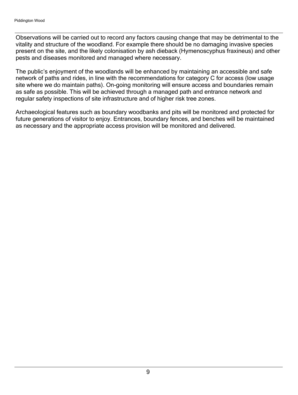Observations will be carried out to record any factors causing change that may be detrimental to the vitality and structure of the woodland. For example there should be no damaging invasive species present on the site, and the likely colonisation by ash dieback (Hymenoscyphus fraxineus) and other pests and diseases monitored and managed where necessary.

The public's enjoyment of the woodlands will be enhanced by maintaining an accessible and safe network of paths and rides, in line with the recommendations for category C for access (low usage site where we do maintain paths). On-going monitoring will ensure access and boundaries remain as safe as possible. This will be achieved through a managed path and entrance network and regular safety inspections of site infrastructure and of higher risk tree zones.

Archaeological features such as boundary woodbanks and pits will be monitored and protected for future generations of visitor to enjoy. Entrances, boundary fences, and benches will be maintained as necessary and the appropriate access provision will be monitored and delivered.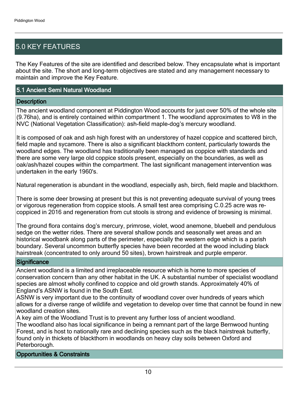# 5.0 KEY FEATURES

The Key Features of the site are identified and described below. They encapsulate what is important about the site. The short and long-term objectives are stated and any management necessary to maintain and improve the Key Feature.

### 5.1 Ancient Semi Natural Woodland

### **Description**

The ancient woodland component at Piddington Wood accounts for just over 50% of the whole site (9.76ha), and is entirely contained within compartment 1. The woodland approximates to W8 in the NVC (National Vegetation Classification): ash-field maple-dog's mercury woodland.

It is composed of oak and ash high forest with an understorey of hazel coppice and scattered birch, field maple and sycamore. There is also a significant blackthorn content, particularly towards the woodland edges. The woodland has traditionally been managed as coppice with standards and there are some very large old coppice stools present, especially on the boundaries, as well as oak/ash/hazel coupes within the compartment. The last significant management intervention was undertaken in the early 1960's.

Natural regeneration is abundant in the woodland, especially ash, birch, field maple and blackthorn.

There is some deer browsing at present but this is not preventing adequate survival of young trees or vigorous regeneration from coppice stools. A small test area comprising C.0.25 acre was recoppiced in 2016 and regeneration from cut stools is strong and evidence of browsing is minimal.

The ground flora contains dog's mercury, primrose, violet, wood anemone, bluebell and pendulous sedge on the wetter rides. There are several shallow ponds and seasonally wet areas and an historical woodbank along parts of the perimeter, especially the western edge which is a parish boundary. Several uncommon butterfly species have been recorded at the wood including black hairstreak (concentrated to only around 50 sites), brown hairstreak and purple emperor.

### **Significance**

Ancient woodland is a limited and irreplaceable resource which is home to more species of conservation concern than any other habitat in the UK. A substantial number of specialist woodland species are almost wholly confined to coppice and old growth stands. Approximately 40% of England's ASNW is found in the South East.

ASNW is very important due to the continuity of woodland cover over hundreds of years which allows for a diverse range of wildlife and vegetation to develop over time that cannot be found in new woodland creation sites.

A key aim of the Woodland Trust is to prevent any further loss of ancient woodland. The woodland also has local significance in being a remnant part of the large Bernwood hunting Forest, and is host to nationally rare and declining species such as the black hairstreak butterfly, found only in thickets of blackthorn in woodlands on heavy clay soils between Oxford and Peterborough.

Opportunities & Constraints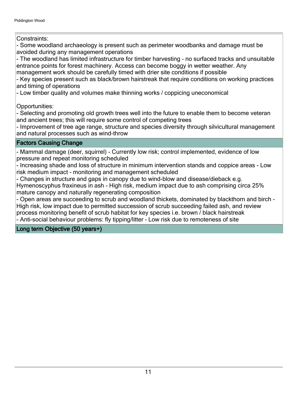Constraints:

- Some woodland archaeology is present such as perimeter woodbanks and damage must be avoided during any management operations

- The woodland has limited infrastructure for timber harvesting - no surfaced tracks and unsuitable entrance points for forest machinery. Access can become boggy in wetter weather. Any management work should be carefully timed with drier site conditions if possible

- Key species present such as black/brown hairstreak that require conditions on working practices and timing of operations

- Low timber quality and volumes make thinning works / coppicing uneconomical

Opportunities:

- Selecting and promoting old growth trees well into the future to enable them to become veteran and ancient trees; this will require some control of competing trees

- Improvement of tree age range, structure and species diversity through silvicultural management and natural processes such as wind-throw

### Factors Causing Change

- Mammal damage (deer, squirrel) - Currently low risk; control implemented, evidence of low pressure and repeat monitoring scheduled

- Increasing shade and loss of structure in minimum intervention stands and coppice areas - Low risk medium impact - monitoring and management scheduled

- Changes in structure and gaps in canopy due to wind-blow and disease/dieback e.g.

Hymenoscyphus fraxineus in ash - High risk, medium impact due to ash comprising circa 25% mature canopy and naturally regenerating composition

- Open areas are succeeding to scrub and woodland thickets, dominated by blackthorn and birch -High risk, low impact due to permitted succession of scrub succeeding failed ash, and review process monitoring benefit of scrub habitat for key species i.e. brown / black hairstreak - Anti-social behaviour problems: fly tipping/litter - Low risk due to remoteness of site

Long term Objective (50 years+)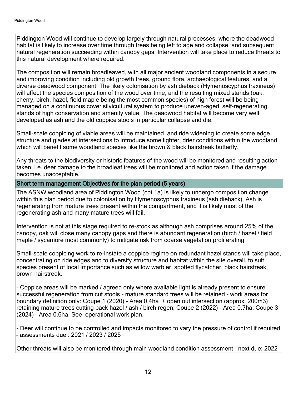Piddington Wood will continue to develop largely through natural processes, where the deadwood habitat is likely to increase over time through trees being left to age and collapse, and subsequent natural regeneration succeeding within canopy gaps. Intervention will take place to reduce threats to this natural development where required.

The composition will remain broadleaved, with all major ancient woodland components in a secure and improving condition including old growth trees, ground flora, archaeological features, and a diverse deadwood component. The likely colonisation by ash dieback (Hymenoscyphus fraxineus) will affect the species composition of the wood over time, and the resulting mixed stands (oak, cherry, birch, hazel, field maple being the most common species) of high forest will be being managed on a continuous cover silvicultural system to produce uneven-aged, self-regenerating stands of high conservation and amenity value. The deadwood habitat will become very well developed as ash and the old coppice stools in particular collapse and die.

Small-scale coppicing of viable areas will be maintained, and ride widening to create some edge structure and glades at intersections to introduce some lighter, drier conditions within the woodland which will benefit some woodland species like the brown & black hairstreak butterfly.

Any threats to the biodiversity or historic features of the wood will be monitored and resulting action taken, i.e. deer damage to the broadleaf trees will be monitored and action taken if the damage becomes unacceptable.

### Short term management Objectives for the plan period (5 years)

The ASNW woodland area of Piddington Wood (cpt.1a) is likely to undergo composition change within this plan period due to colonisation by Hymenoscyphus fraxineus (ash dieback). Ash is regenerating from mature trees present within the compartment, and it is likely most of the regenerating ash and many mature trees will fail.

Intervention is not at this stage required to re-stock as although ash comprises around 25% of the canopy, oak will close many canopy gaps and there is abundant regeneration (birch / hazel / field maple / sycamore most commonly) to mitigate risk from coarse vegetation proliferating.

Small-scale coppicing work to re-instate a coppice regime on redundant hazel stands will take place, concentrating on ride edges and to diversify structure and habitat within the site overall, to suit species present of local importance such as willow warbler, spotted flycatcher, black hairstreak, brown hairstreak.

- Coppice areas will be marked / agreed only where available light is already present to ensure successful regeneration from cut stools - mature standard trees will be retained - work areas for boundary definition only: Coupe 1 (2020) - Area 0.4ha + open out intersection (approx. 200m3) retaining mature trees cutting back hazel / ash / birch regen; Coupe 2 (2022) - Area 0.7ha; Coupe 3 (2024) - Area 0.6ha. See operational work plan.

- Deer will continue to be controlled and impacts monitored to vary the pressure of control if required ±assessments due : 2021 / 2023 / 2025

Other threats will also be monitored through main woodland condition assessment - next due: 2022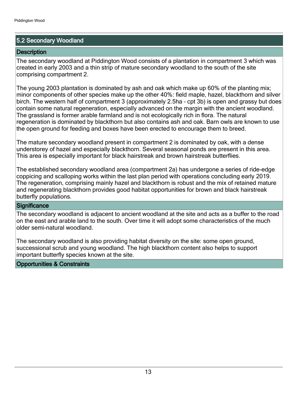### 5.2 Secondary Woodland

### **Description**

The secondary woodland at Piddington Wood consists of a plantation in compartment 3 which was created in early 2003 and a thin strip of mature secondary woodland to the south of the site comprising compartment 2.

The young 2003 plantation is dominated by ash and oak which make up 60% of the planting mix; minor components of other species make up the other 40%: field maple, hazel, blackthorn and silver birch. The western half of compartment 3 (approximately 2.5ha - cpt 3b) is open and grassy but does contain some natural regeneration, especially advanced on the margin with the ancient woodland. The grassland is former arable farmland and is not ecologically rich in flora. The natural regeneration is dominated by blackthorn but also contains ash and oak. Barn owls are known to use the open ground for feeding and boxes have been erected to encourage them to breed.

The mature secondary woodland present in compartment 2 is dominated by oak, with a dense understorey of hazel and especially blackthorn. Several seasonal ponds are present in this area. This area is especially important for black hairstreak and brown hairstreak butterflies.

The established secondary woodland area (compartment 2a) has undergone a series of ride-edge coppicing and scalloping works within the last plan period with operations concluding early 2019. The regeneration, comprising mainly hazel and blackthorn is robust and the mix of retained mature and regenerating blackthorn provides good habitat opportunities for brown and black hairstreak butterfly populations.

### **Significance**

The secondary woodland is adjacent to ancient woodland at the site and acts as a buffer to the road on the east and arable land to the south. Over time it will adopt some characteristics of the much older semi-natural woodland.

The secondary woodland is also providing habitat diversity on the site: some open ground, successional scrub and young woodland. The high blackthorn content also helps to support important butterfly species known at the site.

### Opportunities & Constraints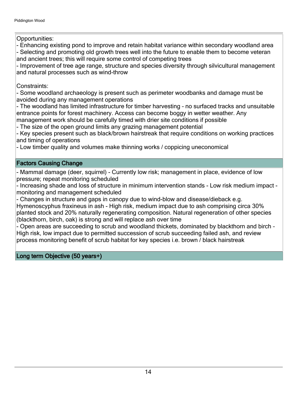Opportunities:

- Enhancing existing pond to improve and retain habitat variance within secondary woodland area - Selecting and promoting old growth trees well into the future to enable them to become veteran and ancient trees; this will require some control of competing trees

- Improvement of tree age range, structure and species diversity through silvicultural management and natural processes such as wind-throw

Constraints:

- Some woodland archaeology is present such as perimeter woodbanks and damage must be avoided during any management operations

- The woodland has limited infrastructure for timber harvesting - no surfaced tracks and unsuitable entrance points for forest machinery. Access can become boggy in wetter weather. Any management work should be carefully timed with drier site conditions if possible

- The size of the open ground limits any grazing management potential

- Key species present such as black/brown hairstreak that require conditions on working practices and timing of operations

- Low timber quality and volumes make thinning works / coppicing uneconomical

Factors Causing Change

- Mammal damage (deer, squirrel) - Currently low risk; management in place, evidence of low pressure; repeat monitoring scheduled

- Increasing shade and loss of structure in minimum intervention stands - Low risk medium impact monitoring and management scheduled

- Changes in structure and gaps in canopy due to wind-blow and disease/dieback e.g. Hymenoscyphus fraxineus in ash - High risk, medium impact due to ash comprising circa 30% planted stock and 20% naturally regenerating composition. Natural regeneration of other species (blackthorn, birch, oak) is strong and will replace ash over time

- Open areas are succeeding to scrub and woodland thickets, dominated by blackthorn and birch -High risk, low impact due to permitted succession of scrub succeeding failed ash, and review process monitoring benefit of scrub habitat for key species i.e. brown / black hairstreak

Long term Objective (50 years+)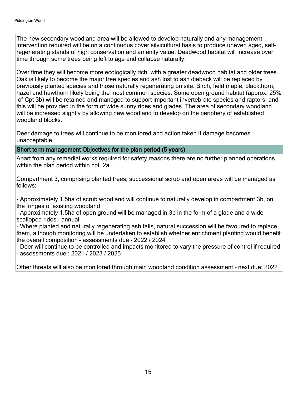The new secondary woodland area will be allowed to develop naturally and any management intervention required will be on a continuous cover silvicultural basis to produce uneven aged, selfregenerating stands of high conservation and amenity value. Deadwood habitat will increase over time through some trees being left to age and collapse naturally.

Over time they will become more ecologically rich, with a greater deadwood habitat and older trees. Oak is likely to become the major tree species and ash lost to ash dieback will be replaced by previously planted species and those naturally regenerating on site. Birch, field maple, blackthorn, hazel and hawthorn likely being the most common species. Some open ground habitat (approx. 25% of Cpt 3b) will be retained and managed to support important invertebrate species and raptors, and this will be provided in the form of wide sunny rides and glades. The area of secondary woodland will be increased slightly by allowing new woodland to develop on the periphery of established woodland blocks.

Deer damage to trees will continue to be monitored and action taken if damage becomes unacceptable.

### Short term management Objectives for the plan period (5 years)

Apart from any remedial works required for safety reasons there are no further planned operations within the plan period within cpt. 2a

Compartment 3, comprising planted trees, successional scrub and open areas will be managed as follows;

- Approximately 1.5ha of scrub woodland will continue to naturally develop in compartment 3b, on the fringes of existing woodland

- Approximately 1.5ha of open ground will be managed in 3b in the form of a glade and a wide scalloped rides - annual

- Where planted and naturally regenerating ash fails, natural succession will be favoured to replace them, although monitoring will be undertaken to establish whether enrichment planting would benefit the overall composition - assessments due - 2022 / 2024

- Deer will continue to be controlled and impacts monitored to vary the pressure of control if required ±assessments due : 2021 / 2023 / 2025

Other threats will also be monitored through main woodland condition assessment - next due: 2022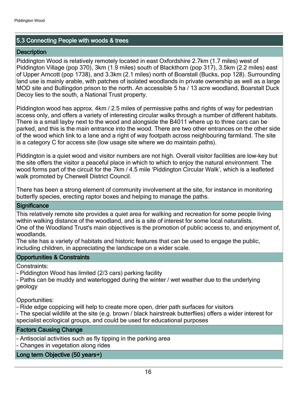### 5.3 Connecting People with woods & trees

### **Description**

Piddington Wood is relatively remotely located in east Oxfordshire 2.7km (1.7 miles) west of Piddington Village (pop 370), 3km (1.9 miles) south of Blackthorn (pop 317), 3.5km (2.2 miles) east of Upper Arncott (pop 1738), and 3.3km (2.1 miles) north of Boarstall (Bucks, pop 128). Surrounding land use is mainly arable, with patches of isolated woodlands in private ownership as well as a large MOD site and Bullingdon prison to the north. An accessible 5 ha / 13 acre woodland, Boarstall Duck Decoy lies to the south, a National Trust property.

Piddington wood has approx. 4km / 2.5 miles of permissive paths and rights of way for pedestrian access only, and offers a variety of interesting circular walks through a number of different habitats. There is a small layby next to the wood and alongside the B4011 where up to three cars can be parked, and this is the main entrance into the wood. There are two other entrances on the other side of the wood which link to a lane and a right of way footpath across neighbouring farmland. The site is a category C for access site (low usage site where we do maintain paths).

Piddington is a quiet wood and visitor numbers are not high. Overall visitor facilities are low-key but the site offers the visitor a peaceful place in which to which to enjoy the natural environment. The wood forms part of the circuit for the 7km / 4.5 mile 'Piddington Circular Walk', which is a leafleted walk promoted by Cherwell District Council.

There has been a strong element of community involvement at the site, for instance in monitoring butterfly species, erecting raptor boxes and helping to manage the paths.

### **Significance**

This relatively remote site provides a quiet area for walking and recreation for some people living within walking distance of the woodland, and is a site of interest for some local naturalists. One of the Woodland Trust's main objectives is the promotion of public access to, and enjoyment of, woodlands.

The site has a variety of habitats and historic features that can be used to engage the public, including children, in appreciating the landscape on a wider scale.

### Opportunities & Constraints

Constraints:

- Piddington Wood has limited (2/3 cars) parking facility

- Paths can be muddy and waterlogged during the winter / wet weather due to the underlying geology

Opportunities:

- Ride edge coppicing will help to create more open, drier path surfaces for visitors

- The special wildlife at the site (e.g. brown / black hairstreak butterflies) offers a wider interest for specialist ecological groups, and could be used for educational purposes

### Factors Causing Change

- Antisocial activities such as fly tipping in the parking area

- Changes in vegetation along rides

### Long term Objective (50 years+)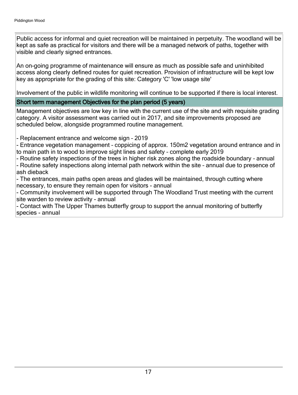Public access for informal and quiet recreation will be maintained in perpetuity. The woodland will be kept as safe as practical for visitors and there will be a managed network of paths, together with visible and clearly signed entrances.

An on-going programme of maintenance will ensure as much as possible safe and uninhibited access along clearly defined routes for quiet recreation. Provision of infrastructure will be kept low key as appropriate for the grading of this site: Category 'C' 'low usage site'

Involvement of the public in wildlife monitoring will continue to be supported if there is local interest.

### Short term management Objectives for the plan period (5 years)

Management objectives are low key in line with the current use of the site and with requisite grading category. A visitor assessment was carried out in 2017, and site improvements proposed are scheduled below, alongside programmed routine management.

- Replacement entrance and welcome sign - 2019

- Entrance vegetation management - coppicing of approx. 150m2 vegetation around entrance and in to main path in to wood to improve sight lines and safety - complete early 2019

- Routine safety inspections of the trees in higher risk zones along the roadside boundary - annual - Routine safety inspections along internal path network within the site - annual due to presence of ash dieback

- The entrances, main paths open areas and glades will be maintained, through cutting where necessary, to ensure they remain open for visitors - annual

- Community involvement will be supported through The Woodland Trust meeting with the current site warden to review activity - annual

- Contact with The Upper Thames butterfly group to support the annual monitoring of butterfly species - annual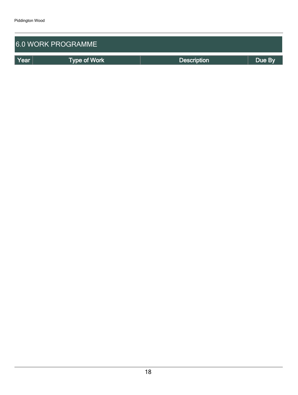| <b>6.0 WORK PROGRAMME</b> |                     |                    |        |  |  |  |
|---------------------------|---------------------|--------------------|--------|--|--|--|
| Year                      | <b>Type of Work</b> | <b>Description</b> | Due By |  |  |  |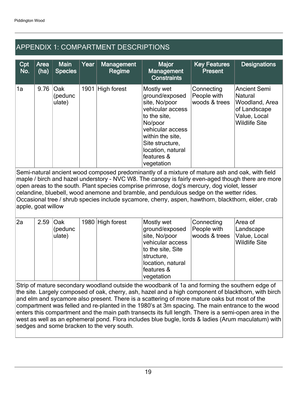## APPENDIX 1: COMPARTMENT DESCRIPTIONS

| Cpt<br>No.                                                                                     | Area<br>(ha) | <b>Main</b><br><b>Species</b>   | Year | <b>Management</b><br>Regime | <b>Major</b><br><b>Management</b><br><b>Constraints</b>                                                                                                                                                  | <b>Key Features</b><br><b>Present</b>      | <b>Designations</b>                                                                                      |
|------------------------------------------------------------------------------------------------|--------------|---------------------------------|------|-----------------------------|----------------------------------------------------------------------------------------------------------------------------------------------------------------------------------------------------------|--------------------------------------------|----------------------------------------------------------------------------------------------------------|
| 1a                                                                                             | 9.76         | <b>Oak</b><br>(pedunc<br>ulate) | 1901 | High forest                 | Mostly wet<br>ground/exposed<br>site, No/poor<br>vehicular access<br>to the site,<br>No/poor<br>vehicular access<br>within the site,<br>Site structure,<br>location, natural<br>features &<br>vegetation | Connecting<br>People with<br>woods & trees | <b>Ancient Semi</b><br>Natural<br>Woodland, Area<br>of Landscape<br>Value, Local<br><b>Wildlife Site</b> |
| Comi notural angiant wood composed prodominantly of a mixture of mature ash and sak with field |              |                                 |      |                             |                                                                                                                                                                                                          |                                            |                                                                                                          |

Semi-natural ancient wood composed predominantly of a mixture of mature ash and oak, with field maple / birch and hazel understory - NVC W8. The canopy is fairly even-aged though there are more open areas to the south. Plant species comprise primrose, dog's mercury, dog violet, lesser celandine, bluebell, wood anemone and bramble, and pendulous sedge on the wetter rides. Occasional tree / shrub species include sycamore, cherry, aspen, hawthorn, blackthorn, elder, crab apple, goat willow

| 2al | $2.59$ Oak | (pedunc<br>ulate) | 1980 High forest | Mostly wet<br>ground/exposed<br>site, No/poor<br>vehicular access<br>to the site, Site<br>structure,<br>location, natural<br>features &<br>vegetation | Connecting<br>People with<br>woods & trees | Area of<br>Landscape<br>Value, Local<br><b>Wildlife Site</b> |
|-----|------------|-------------------|------------------|-------------------------------------------------------------------------------------------------------------------------------------------------------|--------------------------------------------|--------------------------------------------------------------|

Strip of mature secondary woodland outside the woodbank of 1a and forming the southern edge of the site. Largely composed of oak, cherry, ash, hazel and a high component of blackthorn, with birch and elm and sycamore also present. There is a scattering of more mature oaks but most of the compartment was felled and re-planted in the 1980's at 3m spacing. The main entrance to the wood enters this compartment and the main path transects its full length. There is a semi-open area in the west as well as an ephemeral pond. Flora includes blue bugle, lords & ladies (Arum maculatum) with sedges and some bracken to the very south.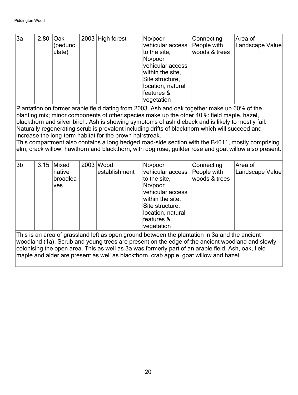| 3a                                                                                                                                                                                                                                                                                                                                                                                              | 2.80                                                                                                                                                                                                                                                                                                                                                                                                                                                                                                                                                                                                                                                                       | Oak<br>(pedunc<br>ulate)           |  | 2003 High forest           | No/poor<br>vehicular access<br>to the site,<br>No/poor<br>vehicular access<br>within the site,<br>Site structure,<br>location, natural<br>features &<br>vegetation | Connecting<br>People with<br>woods & trees | Area of<br>Landscape Value |  |  |
|-------------------------------------------------------------------------------------------------------------------------------------------------------------------------------------------------------------------------------------------------------------------------------------------------------------------------------------------------------------------------------------------------|----------------------------------------------------------------------------------------------------------------------------------------------------------------------------------------------------------------------------------------------------------------------------------------------------------------------------------------------------------------------------------------------------------------------------------------------------------------------------------------------------------------------------------------------------------------------------------------------------------------------------------------------------------------------------|------------------------------------|--|----------------------------|--------------------------------------------------------------------------------------------------------------------------------------------------------------------|--------------------------------------------|----------------------------|--|--|
|                                                                                                                                                                                                                                                                                                                                                                                                 | Plantation on former arable field dating from 2003. Ash and oak together make up 60% of the<br>planting mix; minor components of other species make up the other 40%: field maple, hazel,<br>blackthorn and silver birch. Ash is showing symptoms of ash dieback and is likely to mostly fail.<br>Naturally regenerating scrub is prevalent including drifts of blackthorn which will succeed and<br>increase the long-term habitat for the brown hairstreak.<br>This compartment also contains a long hedged road-side section with the B4011, mostly comprising<br>elm, crack willow, hawthorn and blackthorn, with dog rose, guilder rose and goat willow also present. |                                    |  |                            |                                                                                                                                                                    |                                            |                            |  |  |
| 3 <sub>b</sub>                                                                                                                                                                                                                                                                                                                                                                                  | 3.15                                                                                                                                                                                                                                                                                                                                                                                                                                                                                                                                                                                                                                                                       | Mixed<br>native<br>broadlea<br>ves |  | 2003 Wood<br>establishment | No/poor<br>vehicular access<br>to the site,<br>No/poor<br>vehicular access<br>within the site,<br>Site structure,<br>location, natural<br>features &<br>vegetation | Connecting<br>People with<br>woods & trees | Area of<br>Landscape Value |  |  |
| This is an area of grassland left as open ground between the plantation in 3a and the ancient<br>woodland (1a). Scrub and young trees are present on the edge of the ancient woodland and slowly<br>colonising the open area. This as well as 3a was formerly part of an arable field. Ash, oak, field<br>maple and alder are present as well as blackthorn, crab apple, goat willow and hazel. |                                                                                                                                                                                                                                                                                                                                                                                                                                                                                                                                                                                                                                                                            |                                    |  |                            |                                                                                                                                                                    |                                            |                            |  |  |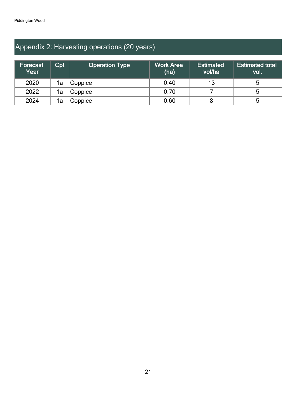# Appendix 2: Harvesting operations (20 years)

| <b>Forecast</b><br>Year | Cpt | <b>Operation Type</b> | <b>Work Area</b><br>(ha) | <b>Estimated</b><br>vol/ha | <b>Estimated total</b><br>vol. |
|-------------------------|-----|-----------------------|--------------------------|----------------------------|--------------------------------|
| 2020                    | 1a  | Coppice               | 0.40                     | 13                         | 5                              |
| 2022                    | 1a  | Coppice               | 0.70                     |                            | 5                              |
| 2024                    | 1a  | Coppice               | 0.60                     |                            | 5                              |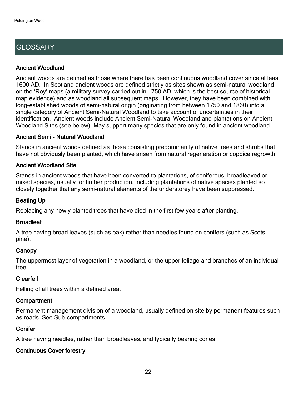# **GLOSSARY**

### Ancient Woodland

Ancient woods are defined as those where there has been continuous woodland cover since at least 1600 AD. In Scotland ancient woods are defined strictly as sites shown as semi-natural woodland on the 'Roy' maps (a military survey carried out in 1750 AD, which is the best source of historical map evidence) and as woodland all subsequent maps. However, they have been combined with long-established woods of semi-natural origin (originating from between 1750 and 1860) into a single category of Ancient Semi-Natural Woodland to take account of uncertainties in their identification. Ancient woods include Ancient Semi-Natural Woodland and plantations on Ancient Woodland Sites (see below). May support many species that are only found in ancient woodland.

### Ancient Semi - Natural Woodland

Stands in ancient woods defined as those consisting predominantly of native trees and shrubs that have not obviously been planted, which have arisen from natural regeneration or coppice regrowth.

### Ancient Woodland Site

Stands in ancient woods that have been converted to plantations, of coniferous, broadleaved or mixed species, usually for timber production, including plantations of native species planted so closely together that any semi-natural elements of the understorey have been suppressed.

### Beating Up

Replacing any newly planted trees that have died in the first few years after planting.

### **Broadleaf**

A tree having broad leaves (such as oak) rather than needles found on conifers (such as Scots pine).

### **Canopy**

The uppermost layer of vegetation in a woodland, or the upper foliage and branches of an individual tree.

### Clearfell

Felling of all trees within a defined area.

### **Compartment**

Permanent management division of a woodland, usually defined on site by permanent features such as roads. See Sub-compartments.

### **Conifer**

A tree having needles, rather than broadleaves, and typically bearing cones.

### Continuous Cover forestry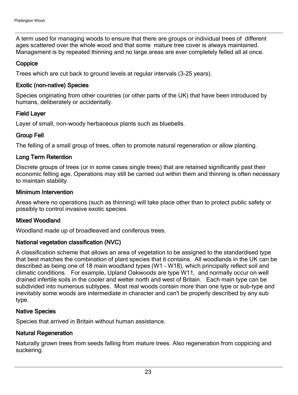A term used for managing woods to ensure that there are groups or individual trees of different ages scattered over the whole wood and that some mature tree cover is always maintained. Management is by repeated thinning and no large areas are ever completely felled all at once.

### **Coppice**

Trees which are cut back to ground levels at regular intervals (3-25 years).

### Exotic (non-native) Species

Species originating from other countries (or other parts of the UK) that have been introduced by humans, deliberately or accidentally.

### Field Layer

Layer of small, non-woody herbaceous plants such as bluebells.

### Group Fell

The felling of a small group of trees, often to promote natural regeneration or allow planting.

### Long Term Retention

Discrete groups of trees (or in some cases single trees) that are retained significantly past their economic felling age. Operations may still be carried out within them and thinning is often necessary to maintain stability.

### Minimum Intervention

Areas where no operations (such as thinning) will take place other than to protect public safety or possibly to control invasive exotic species.

### Mixed Woodland

Woodland made up of broadleaved and coniferous trees.

### National vegetation classification (NVC)

A classification scheme that allows an area of vegetation to be assigned to the standardised type that best matches the combination of plant species that it contains. All woodlands in the UK can be described as being one of 18 main woodland types (W1 - W18), which principally reflect soil and climatic conditions. For example, Upland Oakwoods are type W11, and normally occur on well drained infertile soils in the cooler and wetter north and west of Britain. Each main type can be subdivided into numerous subtypes. Most real woods contain more than one type or sub-type and inevitably some woods are intermediate in character and can't be properly described by any sub type.

### Native Species

Species that arrived in Britain without human assistance.

### Natural Regeneration

Naturally grown trees from seeds falling from mature trees. Also regeneration from coppicing and suckering.